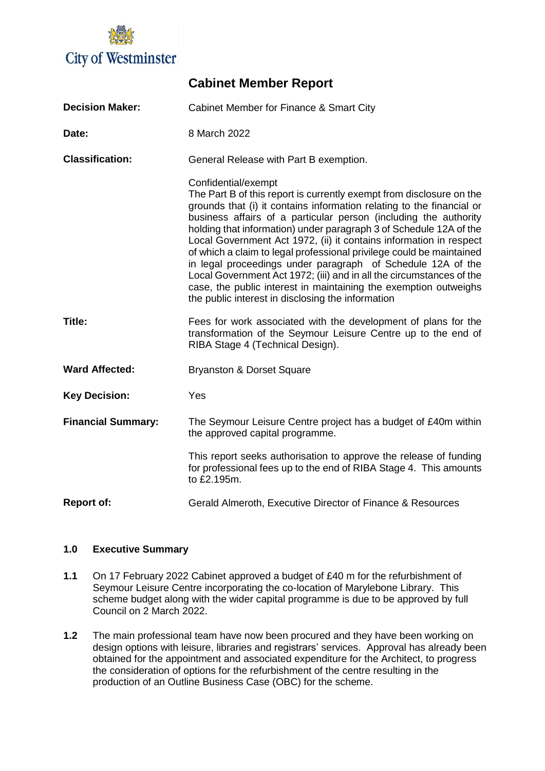

| <b>Decision Maker:</b>    | Cabinet Member for Finance & Smart City                                                                                                                                                                                                                                                                                                                                                                                                                                                                                                                                                                                                                                                                                      |  |  |
|---------------------------|------------------------------------------------------------------------------------------------------------------------------------------------------------------------------------------------------------------------------------------------------------------------------------------------------------------------------------------------------------------------------------------------------------------------------------------------------------------------------------------------------------------------------------------------------------------------------------------------------------------------------------------------------------------------------------------------------------------------------|--|--|
| Date:                     | 8 March 2022                                                                                                                                                                                                                                                                                                                                                                                                                                                                                                                                                                                                                                                                                                                 |  |  |
| <b>Classification:</b>    | General Release with Part B exemption.                                                                                                                                                                                                                                                                                                                                                                                                                                                                                                                                                                                                                                                                                       |  |  |
|                           | Confidential/exempt<br>The Part B of this report is currently exempt from disclosure on the<br>grounds that (i) it contains information relating to the financial or<br>business affairs of a particular person (including the authority<br>holding that information) under paragraph 3 of Schedule 12A of the<br>Local Government Act 1972, (ii) it contains information in respect<br>of which a claim to legal professional privilege could be maintained<br>in legal proceedings under paragraph of Schedule 12A of the<br>Local Government Act 1972; (iii) and in all the circumstances of the<br>case, the public interest in maintaining the exemption outweighs<br>the public interest in disclosing the information |  |  |
| Title:                    | Fees for work associated with the development of plans for the<br>transformation of the Seymour Leisure Centre up to the end of<br>RIBA Stage 4 (Technical Design).                                                                                                                                                                                                                                                                                                                                                                                                                                                                                                                                                          |  |  |
| <b>Ward Affected:</b>     | <b>Bryanston &amp; Dorset Square</b>                                                                                                                                                                                                                                                                                                                                                                                                                                                                                                                                                                                                                                                                                         |  |  |
| <b>Key Decision:</b>      | Yes                                                                                                                                                                                                                                                                                                                                                                                                                                                                                                                                                                                                                                                                                                                          |  |  |
| <b>Financial Summary:</b> | The Seymour Leisure Centre project has a budget of £40m within<br>the approved capital programme.                                                                                                                                                                                                                                                                                                                                                                                                                                                                                                                                                                                                                            |  |  |
|                           | This report seeks authorisation to approve the release of funding<br>for professional fees up to the end of RIBA Stage 4. This amounts<br>to £2.195m.                                                                                                                                                                                                                                                                                                                                                                                                                                                                                                                                                                        |  |  |
| <b>Report of:</b>         | Gerald Almeroth, Executive Director of Finance & Resources                                                                                                                                                                                                                                                                                                                                                                                                                                                                                                                                                                                                                                                                   |  |  |

**Cabinet Member Report**

# **1.0 Executive Summary**

- **1.1** On 17 February 2022 Cabinet approved a budget of £40 m for the refurbishment of Seymour Leisure Centre incorporating the co-location of Marylebone Library. This scheme budget along with the wider capital programme is due to be approved by full Council on 2 March 2022.
- **1.2** The main professional team have now been procured and they have been working on design options with leisure, libraries and registrars' services. Approval has already been obtained for the appointment and associated expenditure for the Architect, to progress the consideration of options for the refurbishment of the centre resulting in the production of an Outline Business Case (OBC) for the scheme.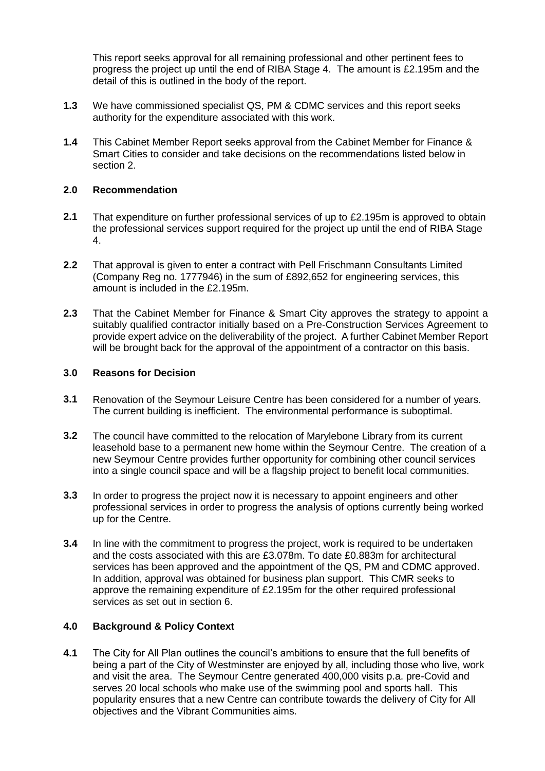This report seeks approval for all remaining professional and other pertinent fees to progress the project up until the end of RIBA Stage 4. The amount is £2.195m and the detail of this is outlined in the body of the report.

- **1.3** We have commissioned specialist QS, PM & CDMC services and this report seeks authority for the expenditure associated with this work.
- **1.4** This Cabinet Member Report seeks approval from the Cabinet Member for Finance & Smart Cities to consider and take decisions on the recommendations listed below in section 2.

#### **2.0 Recommendation**

- **2.1** That expenditure on further professional services of up to £2.195m is approved to obtain the professional services support required for the project up until the end of RIBA Stage 4.
- **2.2** That approval is given to enter a contract with Pell Frischmann Consultants Limited (Company Reg no. 1777946) in the sum of £892,652 for engineering services, this amount is included in the £2.195m.
- **2.3** That the Cabinet Member for Finance & Smart City approves the strategy to appoint a suitably qualified contractor initially based on a Pre-Construction Services Agreement to provide expert advice on the deliverability of the project. A further Cabinet Member Report will be brought back for the approval of the appointment of a contractor on this basis.

#### **3.0 Reasons for Decision**

- **3.1** Renovation of the Seymour Leisure Centre has been considered for a number of years. The current building is inefficient. The environmental performance is suboptimal.
- **3.2** The council have committed to the relocation of Marylebone Library from its current leasehold base to a permanent new home within the Seymour Centre. The creation of a new Seymour Centre provides further opportunity for combining other council services into a single council space and will be a flagship project to benefit local communities.
- **3.3** In order to progress the project now it is necessary to appoint engineers and other professional services in order to progress the analysis of options currently being worked up for the Centre.
- **3.4** In line with the commitment to progress the project, work is required to be undertaken and the costs associated with this are £3.078m. To date £0.883m for architectural services has been approved and the appointment of the QS, PM and CDMC approved. In addition, approval was obtained for business plan support. This CMR seeks to approve the remaining expenditure of £2.195m for the other required professional services as set out in section 6.

# **4.0 Background & Policy Context**

**4.1** The City for All Plan outlines the council's ambitions to ensure that the full benefits of being a part of the City of Westminster are enjoyed by all, including those who live, work and visit the area. The Seymour Centre generated 400,000 visits p.a. pre-Covid and serves 20 local schools who make use of the swimming pool and sports hall. This popularity ensures that a new Centre can contribute towards the delivery of City for All objectives and the Vibrant Communities aims.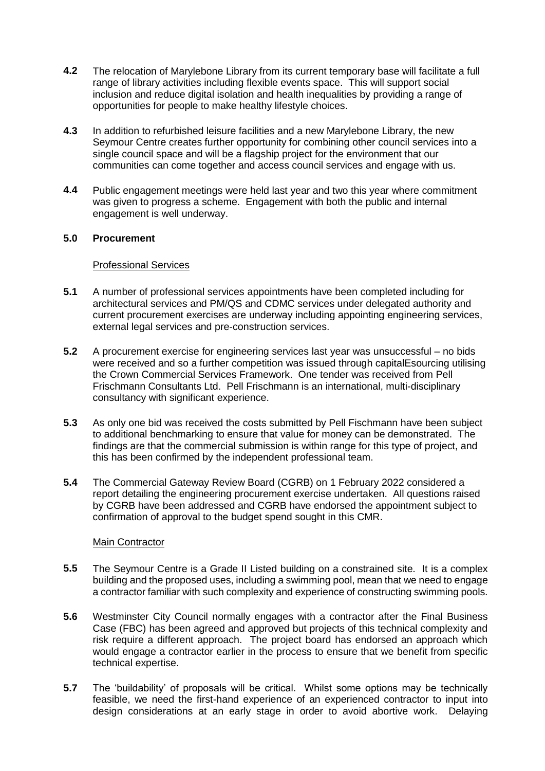- **4.2** The relocation of Marylebone Library from its current temporary base will facilitate a full range of library activities including flexible events space. This will support social inclusion and reduce digital isolation and health inequalities by providing a range of opportunities for people to make healthy lifestyle choices.
- **4.3** In addition to refurbished leisure facilities and a new Marylebone Library, the new Seymour Centre creates further opportunity for combining other council services into a single council space and will be a flagship project for the environment that our communities can come together and access council services and engage with us.
- **4.4** Public engagement meetings were held last year and two this year where commitment was given to progress a scheme. Engagement with both the public and internal engagement is well underway.

# **5.0 Procurement**

#### Professional Services

- **5.1** A number of professional services appointments have been completed including for architectural services and PM/QS and CDMC services under delegated authority and current procurement exercises are underway including appointing engineering services, external legal services and pre-construction services.
- **5.2** A procurement exercise for engineering services last year was unsuccessful no bids were received and so a further competition was issued through capitalEsourcing utilising the Crown Commercial Services Framework. One tender was received from Pell Frischmann Consultants Ltd. Pell Frischmann is an international, multi-disciplinary consultancy with significant experience.
- **5.3** As only one bid was received the costs submitted by Pell Fischmann have been subject to additional benchmarking to ensure that value for money can be demonstrated. The findings are that the commercial submission is within range for this type of project, and this has been confirmed by the independent professional team.
- **5.4** The Commercial Gateway Review Board (CGRB) on 1 February 2022 considered a report detailing the engineering procurement exercise undertaken. All questions raised by CGRB have been addressed and CGRB have endorsed the appointment subject to confirmation of approval to the budget spend sought in this CMR.

# Main Contractor

- **5.5** The Seymour Centre is a Grade II Listed building on a constrained site. It is a complex building and the proposed uses, including a swimming pool, mean that we need to engage a contractor familiar with such complexity and experience of constructing swimming pools.
- **5.6** Westminster City Council normally engages with a contractor after the Final Business Case (FBC) has been agreed and approved but projects of this technical complexity and risk require a different approach. The project board has endorsed an approach which would engage a contractor earlier in the process to ensure that we benefit from specific technical expertise.
- **5.7** The 'buildability' of proposals will be critical. Whilst some options may be technically feasible, we need the first-hand experience of an experienced contractor to input into design considerations at an early stage in order to avoid abortive work. Delaying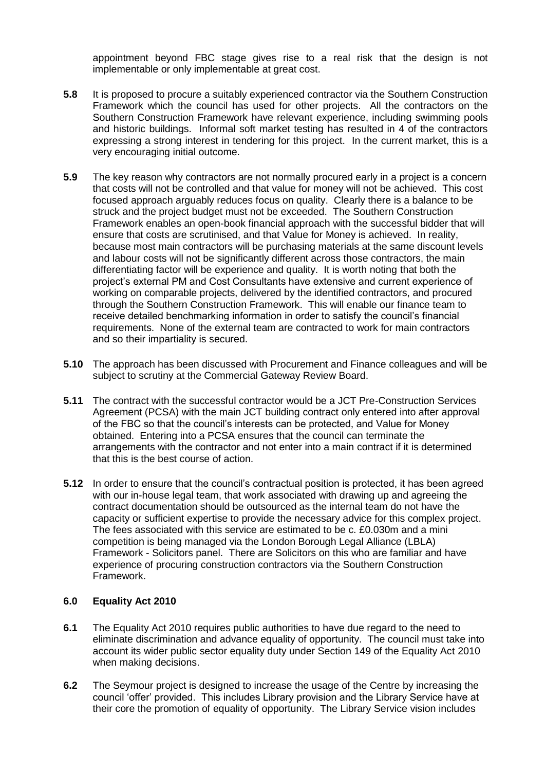appointment beyond FBC stage gives rise to a real risk that the design is not implementable or only implementable at great cost.

- **5.8** It is proposed to procure a suitably experienced contractor via the Southern Construction Framework which the council has used for other projects. All the contractors on the Southern Construction Framework have relevant experience, including swimming pools and historic buildings. Informal soft market testing has resulted in 4 of the contractors expressing a strong interest in tendering for this project. In the current market, this is a very encouraging initial outcome.
- **5.9** The key reason why contractors are not normally procured early in a project is a concern that costs will not be controlled and that value for money will not be achieved. This cost focused approach arguably reduces focus on quality. Clearly there is a balance to be struck and the project budget must not be exceeded. The Southern Construction Framework enables an open-book financial approach with the successful bidder that will ensure that costs are scrutinised, and that Value for Money is achieved. In reality, because most main contractors will be purchasing materials at the same discount levels and labour costs will not be significantly different across those contractors, the main differentiating factor will be experience and quality. It is worth noting that both the project's external PM and Cost Consultants have extensive and current experience of working on comparable projects, delivered by the identified contractors, and procured through the Southern Construction Framework. This will enable our finance team to receive detailed benchmarking information in order to satisfy the council's financial requirements. None of the external team are contracted to work for main contractors and so their impartiality is secured.
- **5.10** The approach has been discussed with Procurement and Finance colleagues and will be subject to scrutiny at the Commercial Gateway Review Board.
- **5.11** The contract with the successful contractor would be a JCT Pre-Construction Services Agreement (PCSA) with the main JCT building contract only entered into after approval of the FBC so that the council's interests can be protected, and Value for Money obtained. Entering into a PCSA ensures that the council can terminate the arrangements with the contractor and not enter into a main contract if it is determined that this is the best course of action.
- **5.12** In order to ensure that the council's contractual position is protected, it has been agreed with our in-house legal team, that work associated with drawing up and agreeing the contract documentation should be outsourced as the internal team do not have the capacity or sufficient expertise to provide the necessary advice for this complex project. The fees associated with this service are estimated to be c. £0.030m and a mini competition is being managed via the London Borough Legal Alliance (LBLA) Framework - Solicitors panel. There are Solicitors on this who are familiar and have experience of procuring construction contractors via the Southern Construction Framework.

# **6.0 Equality Act 2010**

- **6.1** The Equality Act 2010 requires public authorities to have due regard to the need to eliminate discrimination and advance equality of opportunity. The council must take into account its wider public sector equality duty under Section 149 of the Equality Act 2010 when making decisions.
- **6.2** The Seymour project is designed to increase the usage of the Centre by increasing the council 'offer' provided. This includes Library provision and the Library Service have at their core the promotion of equality of opportunity. The Library Service vision includes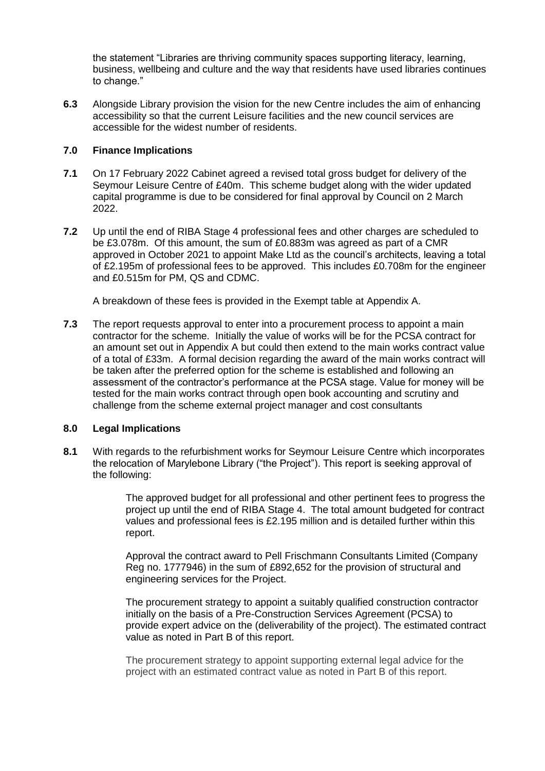the statement "Libraries are thriving community spaces supporting literacy, learning, business, wellbeing and culture and the way that residents have used libraries continues to change."

**6.3** Alongside Library provision the vision for the new Centre includes the aim of enhancing accessibility so that the current Leisure facilities and the new council services are accessible for the widest number of residents.

# **7.0 Finance Implications**

- **7.1** On 17 February 2022 Cabinet agreed a revised total gross budget for delivery of the Seymour Leisure Centre of £40m. This scheme budget along with the wider updated capital programme is due to be considered for final approval by Council on 2 March 2022.
- **7.2** Up until the end of RIBA Stage 4 professional fees and other charges are scheduled to be £3.078m. Of this amount, the sum of £0.883m was agreed as part of a CMR approved in October 2021 to appoint Make Ltd as the council's architects, leaving a total of £2.195m of professional fees to be approved. This includes £0.708m for the engineer and £0.515m for PM, QS and CDMC.

A breakdown of these fees is provided in the Exempt table at Appendix A.

**7.3** The report requests approval to enter into a procurement process to appoint a main contractor for the scheme. Initially the value of works will be for the PCSA contract for an amount set out in Appendix A but could then extend to the main works contract value of a total of £33m. A formal decision regarding the award of the main works contract will be taken after the preferred option for the scheme is established and following an assessment of the contractor's performance at the PCSA stage. Value for money will be tested for the main works contract through open book accounting and scrutiny and challenge from the scheme external project manager and cost consultants

# **8.0 Legal Implications**

**8.1** With regards to the refurbishment works for Seymour Leisure Centre which incorporates the relocation of Marylebone Library ("the Project"). This report is seeking approval of the following:

> The approved budget for all professional and other pertinent fees to progress the project up until the end of RIBA Stage 4. The total amount budgeted for contract values and professional fees is £2.195 million and is detailed further within this report.

Approval the contract award to Pell Frischmann Consultants Limited (Company Reg no. 1777946) in the sum of £892,652 for the provision of structural and engineering services for the Project.

The procurement strategy to appoint a suitably qualified construction contractor initially on the basis of a Pre-Construction Services Agreement (PCSA) to provide expert advice on the (deliverability of the project). The estimated contract value as noted in Part B of this report.

The procurement strategy to appoint supporting external legal advice for the project with an estimated contract value as noted in Part B of this report.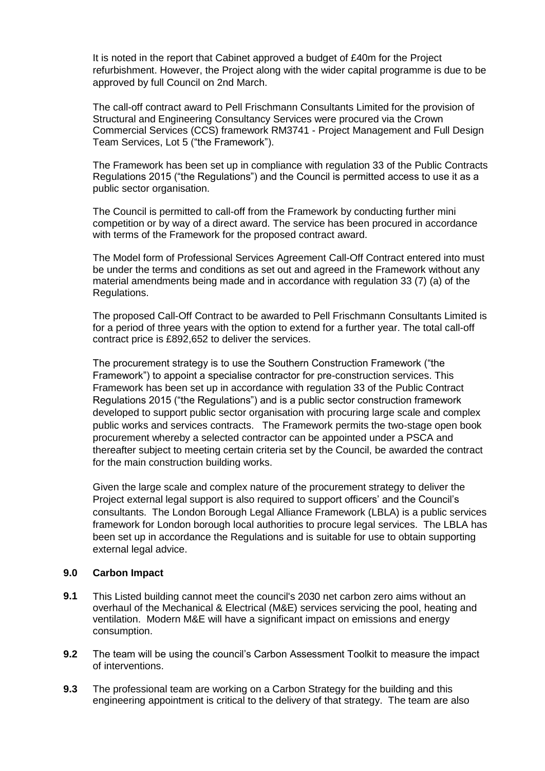It is noted in the report that Cabinet approved a budget of £40m for the Project refurbishment. However, the Project along with the wider capital programme is due to be approved by full Council on 2nd March.

The call-off contract award to Pell Frischmann Consultants Limited for the provision of Structural and Engineering Consultancy Services were procured via the Crown Commercial Services (CCS) framework RM3741 - Project Management and Full Design Team Services, Lot 5 ("the Framework").

The Framework has been set up in compliance with regulation 33 of the Public Contracts Regulations 2015 ("the Regulations") and the Council is permitted access to use it as a public sector organisation.

The Council is permitted to call-off from the Framework by conducting further mini competition or by way of a direct award. The service has been procured in accordance with terms of the Framework for the proposed contract award.

The Model form of Professional Services Agreement Call-Off Contract entered into must be under the terms and conditions as set out and agreed in the Framework without any material amendments being made and in accordance with regulation 33 (7) (a) of the Regulations.

The proposed Call-Off Contract to be awarded to Pell Frischmann Consultants Limited is for a period of three years with the option to extend for a further year. The total call-off contract price is £892,652 to deliver the services.

The procurement strategy is to use the Southern Construction Framework ("the Framework") to appoint a specialise contractor for pre-construction services. This Framework has been set up in accordance with regulation 33 of the Public Contract Regulations 2015 ("the Regulations") and is a public sector construction framework developed to support public sector organisation with procuring large scale and complex public works and services contracts. The Framework permits the two-stage open book procurement whereby a selected contractor can be appointed under a PSCA and thereafter subject to meeting certain criteria set by the Council, be awarded the contract for the main construction building works.

Given the large scale and complex nature of the procurement strategy to deliver the Project external legal support is also required to support officers' and the Council's consultants. The London Borough Legal Alliance Framework (LBLA) is a public services framework for London borough local authorities to procure legal services. The LBLA has been set up in accordance the Regulations and is suitable for use to obtain supporting external legal advice.

# **9.0 Carbon Impact**

- **9.1** This Listed building cannot meet the council's 2030 net carbon zero aims without an overhaul of the Mechanical & Electrical (M&E) services servicing the pool, heating and ventilation. Modern M&E will have a significant impact on emissions and energy consumption.
- **9.2** The team will be using the council's Carbon Assessment Toolkit to measure the impact of interventions.
- **9.3** The professional team are working on a Carbon Strategy for the building and this engineering appointment is critical to the delivery of that strategy. The team are also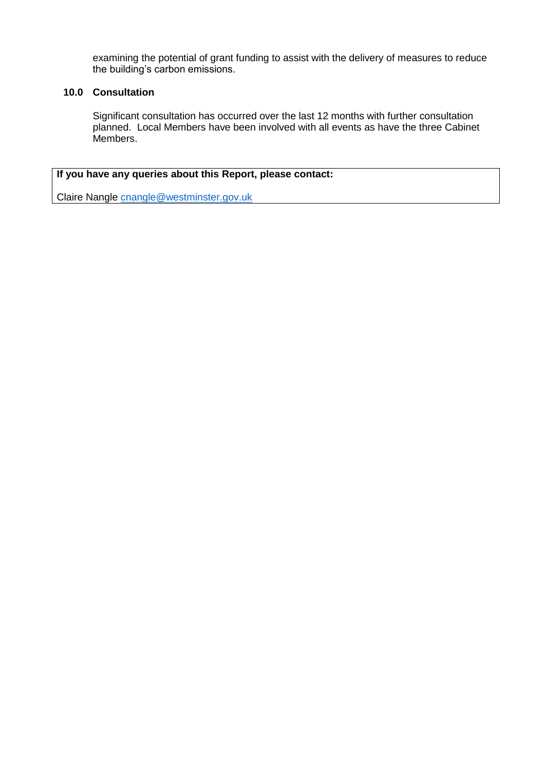examining the potential of grant funding to assist with the delivery of measures to reduce the building's carbon emissions.

# **10.0 Consultation**

Significant consultation has occurred over the last 12 months with further consultation planned. Local Members have been involved with all events as have the three Cabinet .<br>Members.

# **If you have any queries about this Report, please contact:**

Claire Nangle [cnangle@westminster.gov.uk](mailto:cnangle@westminster.gov.uk)